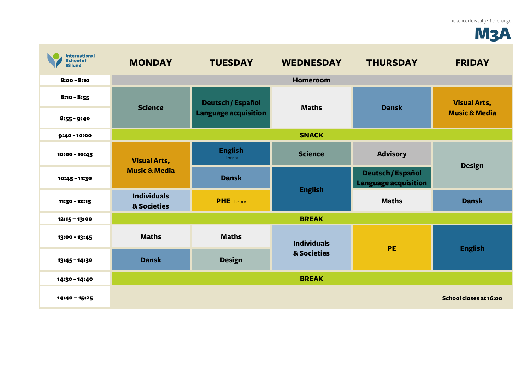## M3A

| <b>International</b><br><b>School of</b><br><b>Billund</b> | <b>MONDAY</b>                                   | <b>TUESDAY</b>                                          | <b>WEDNESDAY</b>                  | <b>THURSDAY</b>                                  | <b>FRIDAY</b>                                   |
|------------------------------------------------------------|-------------------------------------------------|---------------------------------------------------------|-----------------------------------|--------------------------------------------------|-------------------------------------------------|
| $8:00 - 8:10$                                              |                                                 |                                                         | <b>Homeroom</b>                   |                                                  |                                                 |
| $8:10 - 8:55$                                              | <b>Science</b>                                  | <b>Deutsch / Español</b><br><b>Language acquisition</b> | <b>Maths</b>                      | <b>Dansk</b>                                     | <b>Visual Arts,</b><br><b>Music &amp; Media</b> |
| $8:55 - 9:40$                                              |                                                 |                                                         |                                   |                                                  |                                                 |
| $9:40 - 10:00$                                             | <b>SNACK</b>                                    |                                                         |                                   |                                                  |                                                 |
| 10:00 - 10:45                                              | <b>Visual Arts,</b><br><b>Music &amp; Media</b> | <b>English</b><br>Library                               | <b>Science</b>                    | <b>Advisory</b>                                  | <b>Design</b>                                   |
| 10:45 - 11:30                                              |                                                 | <b>Dansk</b>                                            | <b>English</b>                    | Deutsch / Español<br><b>Language acquisition</b> |                                                 |
| 11:30 - 12:15                                              | <b>Individuals</b><br>& Societies               | <b>PHE</b> Theory                                       |                                   | <b>Maths</b>                                     | <b>Dansk</b>                                    |
| 12:15 - 13:00                                              |                                                 |                                                         | <b>BREAK</b>                      |                                                  |                                                 |
| 13:00 - 13:45                                              | <b>Maths</b>                                    | <b>Maths</b>                                            | <b>Individuals</b><br>& Societies | PE                                               | <b>English</b>                                  |
| 13:45 - 14:30                                              | <b>Dansk</b>                                    | <b>Design</b>                                           |                                   |                                                  |                                                 |
| 14:30 - 14:40                                              |                                                 |                                                         | <b>BREAK</b>                      |                                                  |                                                 |
| 14:40 - 15:25                                              |                                                 |                                                         |                                   |                                                  | School closes at 16:00                          |